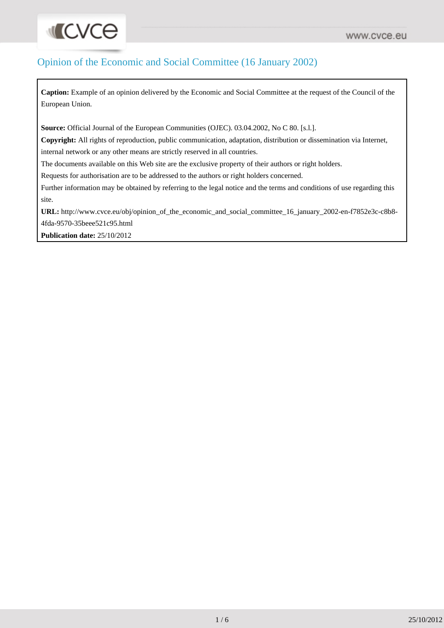# Opinion of the Economic and Social Committee (16 January 2002)

**Caption:** Example of an opinion delivered by the Economic and Social Committee at the request of the Council of the European Union.

**Source:** Official Journal of the European Communities (OJEC). 03.04.2002, No C 80. [s.l.].

**Copyright:** All rights of reproduction, public communication, adaptation, distribution or dissemination via Internet, internal network or any other means are strictly reserved in all countries.

The documents available on this Web site are the exclusive property of their authors or right holders.

Requests for authorisation are to be addressed to the authors or right holders concerned.

Further information may be obtained by referring to the legal notice and the terms and conditions of use regarding this site.

**URL:** [http://www.cvce.eu/obj/opinion\\_of\\_the\\_economic\\_and\\_social\\_committee\\_16\\_january\\_2002-en-f7852e3c-c8b8-](http://www.cvce.eu/obj/opinion_of_the_economic_and_social_committee_16_january_2002-en-f7852e3c-c8b8-4fda-9570-35beee521c95.html) [4fda-9570-35beee521c95.html](http://www.cvce.eu/obj/opinion_of_the_economic_and_social_committee_16_january_2002-en-f7852e3c-c8b8-4fda-9570-35beee521c95.html)

**Publication date:** 25/10/2012

**INCACE**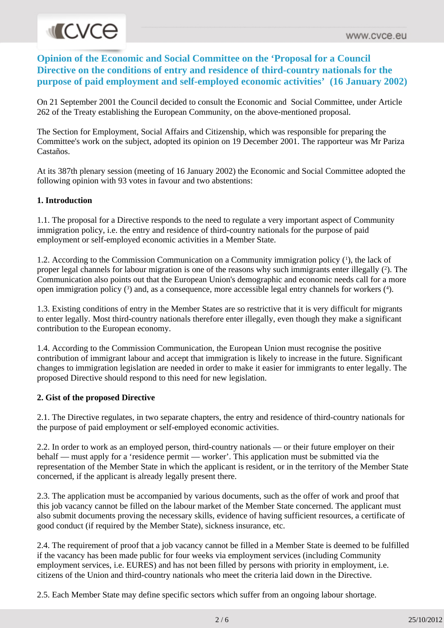# **MICVCE**

**Opinion of the Economic and Social Committee on the 'Proposal for a Council Directive on the conditions of entry and residence of third-country nationals for the purpose of paid employment and self-employed economic activities' (16 January 2002)**

On 21 September 2001 the Council decided to consult the Economic and Social Committee, under Article 262 of the Treaty establishing the European Community, on the above-mentioned proposal.

The Section for Employment, Social Affairs and Citizenship, which was responsible for preparing the Committee's work on the subject, adopted its opinion on 19 December 2001. The rapporteur was Mr Pariza Castaños.

At its 387th plenary session (meeting of 16 January 2002) the Economic and Social Committee adopted the following opinion with 93 votes in favour and two abstentions:

### **1. Introduction**

1.1. The proposal for a Directive responds to the need to regulate a very important aspect of Community immigration policy, i.e. the entry and residence of third-country nationals for the purpose of paid employment or self-employed economic activities in a Member State.

1.2. According to the Commission Communication on a Community immigration policy (<sup>1</sup> ), the lack of proper legal channels for labour migration is one of the reasons why such immigrants enter illegally (<sup>2</sup> ). The Communication also points out that the European Union's demographic and economic needs call for a more open immigration policy (3) and, as a consequence, more accessible legal entry channels for workers (4).

1.3. Existing conditions of entry in the Member States are so restrictive that it is very difficult for migrants to enter legally. Most third-country nationals therefore enter illegally, even though they make a significant contribution to the European economy.

1.4. According to the Commission Communication, the European Union must recognise the positive contribution of immigrant labour and accept that immigration is likely to increase in the future. Significant changes to immigration legislation are needed in order to make it easier for immigrants to enter legally. The proposed Directive should respond to this need for new legislation.

### **2. Gist of the proposed Directive**

2.1. The Directive regulates, in two separate chapters, the entry and residence of third-country nationals for the purpose of paid employment or self-employed economic activities.

2.2. In order to work as an employed person, third-country nationals — or their future employer on their behalf — must apply for a 'residence permit — worker'. This application must be submitted via the representation of the Member State in which the applicant is resident, or in the territory of the Member State concerned, if the applicant is already legally present there.

2.3. The application must be accompanied by various documents, such as the offer of work and proof that this job vacancy cannot be filled on the labour market of the Member State concerned. The applicant must also submit documents proving the necessary skills, evidence of having sufficient resources, a certificate of good conduct (if required by the Member State), sickness insurance, etc.

2.4. The requirement of proof that a job vacancy cannot be filled in a Member State is deemed to be fulfilled if the vacancy has been made public for four weeks via employment services (including Community employment services, i.e. EURES) and has not been filled by persons with priority in employment, i.e. citizens of the Union and third-country nationals who meet the criteria laid down in the Directive.

2.5. Each Member State may define specific sectors which suffer from an ongoing labour shortage.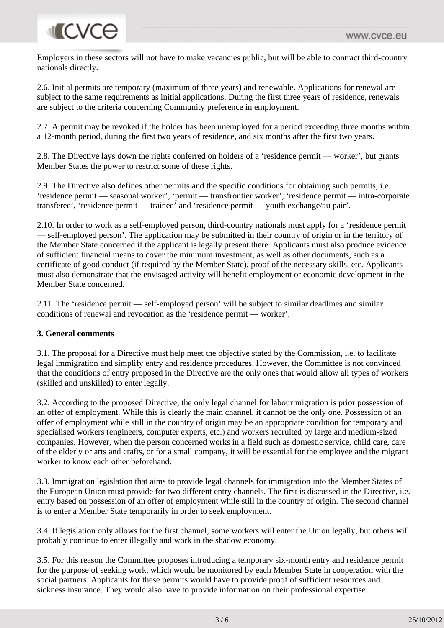# **INCVCE**

Employers in these sectors will not have to make vacancies public, but will be able to contract third-country nationals directly.

2.6. Initial permits are temporary (maximum of three years) and renewable. Applications for renewal are subject to the same requirements as initial applications. During the first three years of residence, renewals are subject to the criteria concerning Community preference in employment.

2.7. A permit may be revoked if the holder has been unemployed for a period exceeding three months within a 12-month period, during the first two years of residence, and six months after the first two years.

2.8. The Directive lays down the rights conferred on holders of a 'residence permit — worker', but grants Member States the power to restrict some of these rights.

2.9. The Directive also defines other permits and the specific conditions for obtaining such permits, i.e. 'residence permit — seasonal worker', 'permit — transfrontier worker', 'residence permit — intra-corporate transferee', 'residence permit — trainee' and 'residence permit — youth exchange/au pair'.

2.10. In order to work as a self-employed person, third-country nationals must apply for a 'residence permit — self-employed person'. The application may be submitted in their country of origin or in the territory of the Member State concerned if the applicant is legally present there. Applicants must also produce evidence of sufficient financial means to cover the minimum investment, as well as other documents, such as a certificate of good conduct (if required by the Member State), proof of the necessary skills, etc. Applicants must also demonstrate that the envisaged activity will benefit employment or economic development in the Member State concerned.

2.11. The 'residence permit — self-employed person' will be subject to similar deadlines and similar conditions of renewal and revocation as the 'residence permit — worker'.

### **3. General comments**

3.1. The proposal for a Directive must help meet the objective stated by the Commission, i.e. to facilitate legal immigration and simplify entry and residence procedures. However, the Committee is not convinced that the conditions of entry proposed in the Directive are the only ones that would allow all types of workers (skilled and unskilled) to enter legally.

3.2. According to the proposed Directive, the only legal channel for labour migration is prior possession of an offer of employment. While this is clearly the main channel, it cannot be the only one. Possession of an offer of employment while still in the country of origin may be an appropriate condition for temporary and specialised workers (engineers, computer experts, etc.) and workers recruited by large and medium-sized companies. However, when the person concerned works in a field such as domestic service, child care, care of the elderly or arts and crafts, or for a small company, it will be essential for the employee and the migrant worker to know each other beforehand.

3.3. Immigration legislation that aims to provide legal channels for immigration into the Member States of the European Union must provide for two different entry channels. The first is discussed in the Directive, i.e. entry based on possession of an offer of employment while still in the country of origin. The second channel is to enter a Member State temporarily in order to seek employment.

3.4. If legislation only allows for the first channel, some workers will enter the Union legally, but others will probably continue to enter illegally and work in the shadow economy.

3.5. For this reason the Committee proposes introducing a temporary six-month entry and residence permit for the purpose of seeking work, which would be monitored by each Member State in cooperation with the social partners. Applicants for these permits would have to provide proof of sufficient resources and sickness insurance. They would also have to provide information on their professional expertise.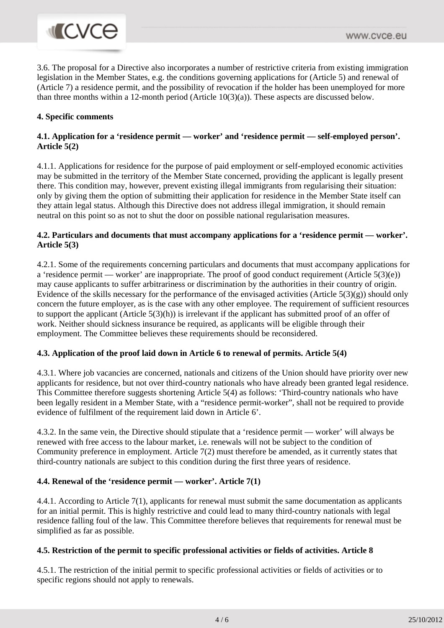

3.6. The proposal for a Directive also incorporates a number of restrictive criteria from existing immigration legislation in the Member States, e.g. the conditions governing applications for (Article 5) and renewal of (Article 7) a residence permit, and the possibility of revocation if the holder has been unemployed for more than three months within a 12-month period (Article 10(3)(a)). These aspects are discussed below.

#### **4. Specific comments**

### **4.1. Application for a 'residence permit — worker' and 'residence permit — self-employed person'. Article 5(2)**

4.1.1. Applications for residence for the purpose of paid employment or self-employed economic activities may be submitted in the territory of the Member State concerned, providing the applicant is legally present there. This condition may, however, prevent existing illegal immigrants from regularising their situation: only by giving them the option of submitting their application for residence in the Member State itself can they attain legal status. Although this Directive does not address illegal immigration, it should remain neutral on this point so as not to shut the door on possible national regularisation measures.

### **4.2. Particulars and documents that must accompany applications for a 'residence permit — worker'. Article 5(3)**

4.2.1. Some of the requirements concerning particulars and documents that must accompany applications for a 'residence permit — worker' are inappropriate. The proof of good conduct requirement (Article 5(3)(e)) may cause applicants to suffer arbitrariness or discrimination by the authorities in their country of origin. Evidence of the skills necessary for the performance of the envisaged activities (Article 5(3)(g)) should only concern the future employer, as is the case with any other employee. The requirement of sufficient resources to support the applicant (Article 5(3)(h)) is irrelevant if the applicant has submitted proof of an offer of work. Neither should sickness insurance be required, as applicants will be eligible through their employment. The Committee believes these requirements should be reconsidered.

#### **4.3. Application of the proof laid down in Article 6 to renewal of permits. Article 5(4)**

4.3.1. Where job vacancies are concerned, nationals and citizens of the Union should have priority over new applicants for residence, but not over third-country nationals who have already been granted legal residence. This Committee therefore suggests shortening Article 5(4) as follows: 'Third-country nationals who have been legally resident in a Member State, with a "residence permit-worker", shall not be required to provide evidence of fulfilment of the requirement laid down in Article 6'.

4.3.2. In the same vein, the Directive should stipulate that a 'residence permit — worker' will always be renewed with free access to the labour market, i.e. renewals will not be subject to the condition of Community preference in employment. Article 7(2) must therefore be amended, as it currently states that third-country nationals are subject to this condition during the first three years of residence.

#### **4.4. Renewal of the 'residence permit — worker'. Article 7(1)**

4.4.1. According to Article 7(1), applicants for renewal must submit the same documentation as applicants for an initial permit. This is highly restrictive and could lead to many third-country nationals with legal residence falling foul of the law. This Committee therefore believes that requirements for renewal must be simplified as far as possible.

#### **4.5. Restriction of the permit to specific professional activities or fields of activities. Article 8**

4.5.1. The restriction of the initial permit to specific professional activities or fields of activities or to specific regions should not apply to renewals.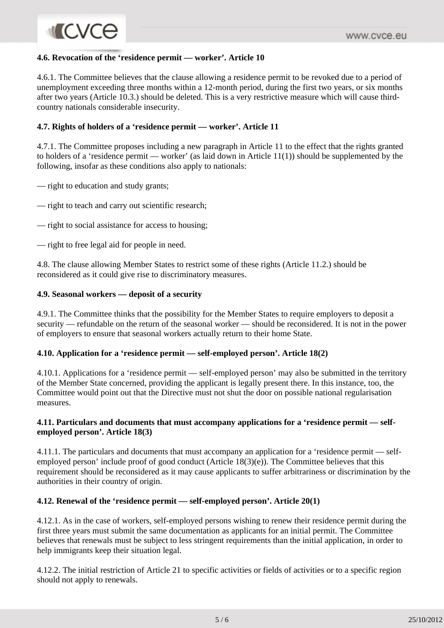# **MICVCO**

### **4.6. Revocation of the 'residence permit — worker'. Article 10**

4.6.1. The Committee believes that the clause allowing a residence permit to be revoked due to a period of unemployment exceeding three months within a 12-month period, during the first two years, or six months after two years (Article 10.3.) should be deleted. This is a very restrictive measure which will cause thirdcountry nationals considerable insecurity.

## **4.7. Rights of holders of a 'residence permit — worker'. Article 11**

4.7.1. The Committee proposes including a new paragraph in Article 11 to the effect that the rights granted to holders of a 'residence permit — worker' (as laid down in Article 11(1)) should be supplemented by the following, insofar as these conditions also apply to nationals:

— right to education and study grants;

- right to teach and carry out scientific research;
- right to social assistance for access to housing;
- right to free legal aid for people in need.

4.8. The clause allowing Member States to restrict some of these rights (Article 11.2.) should be reconsidered as it could give rise to discriminatory measures.

### **4.9. Seasonal workers — deposit of a security**

4.9.1. The Committee thinks that the possibility for the Member States to require employers to deposit a security — refundable on the return of the seasonal worker — should be reconsidered. It is not in the power of employers to ensure that seasonal workers actually return to their home State.

### **4.10. Application for a 'residence permit — self-employed person'. Article 18(2)**

4.10.1. Applications for a 'residence permit — self-employed person' may also be submitted in the territory of the Member State concerned, providing the applicant is legally present there. In this instance, too, the Committee would point out that the Directive must not shut the door on possible national regularisation measures.

### **4.11. Particulars and documents that must accompany applications for a 'residence permit — selfemployed person'. Article 18(3)**

4.11.1. The particulars and documents that must accompany an application for a 'residence permit — selfemployed person' include proof of good conduct (Article 18(3)(e)). The Committee believes that this requirement should be reconsidered as it may cause applicants to suffer arbitrariness or discrimination by the authorities in their country of origin.

### **4.12. Renewal of the 'residence permit — self-employed person'. Article 20(1)**

4.12.1. As in the case of workers, self-employed persons wishing to renew their residence permit during the first three years must submit the same documentation as applicants for an initial permit. The Committee believes that renewals must be subject to less stringent requirements than the initial application, in order to help immigrants keep their situation legal.

4.12.2. The initial restriction of Article 21 to specific activities or fields of activities or to a specific region should not apply to renewals.